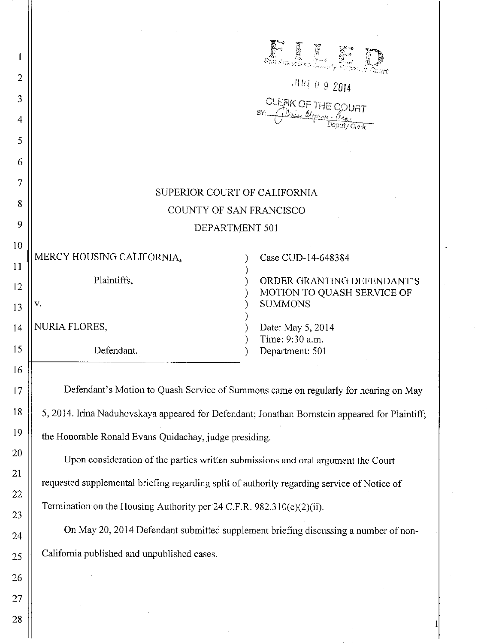| 1  |                                                                                                | ET I                                         |
|----|------------------------------------------------------------------------------------------------|----------------------------------------------|
| 2  | , ILIN 0 9 2014                                                                                |                                              |
| 3  |                                                                                                |                                              |
| 4  | CLERK OF THE COURT                                                                             |                                              |
| 5  |                                                                                                |                                              |
| 6  |                                                                                                |                                              |
| 7  |                                                                                                |                                              |
| 8  | SUPERIOR COURT OF CALIFORNIA<br>COUNTY OF SAN FRANCISCO                                        |                                              |
| 9  | DEPARTMENT 501                                                                                 |                                              |
| 10 |                                                                                                |                                              |
| 11 | MERCY HOUSING CALIFORNIA,                                                                      | Case CUD-14-648384                           |
| 12 | Plaintiffs,                                                                                    | ORDER GRANTING DEFENDANT'S                   |
| 13 | v.                                                                                             | MOTION TO QUASH SERVICE OF<br><b>SUMMONS</b> |
| 14 | NURIA FLORES,                                                                                  | Date: May 5, 2014                            |
| 15 | Defendant.                                                                                     | Time: 9:30 a.m.<br>Department: 501           |
| 16 |                                                                                                |                                              |
| 17 | Defendant's Motion to Quash Service of Summons came on regularly for hearing on May            |                                              |
| 18 | 5, 2014. Irina Naduhovskaya appeared for Defendant; Jonathan Bornstein appeared for Plaintiff; |                                              |
| 19 | the Honorable Ronald Evans Quidachay, judge presiding.                                         |                                              |
| 20 |                                                                                                |                                              |
| 21 | Upon consideration of the parties written submissions and oral argument the Court              |                                              |
| 22 | requested supplemental briefing regarding split of authority regarding service of Notice of    |                                              |
| 23 | Termination on the Housing Authority per 24 C.F.R. 982.310(e)(2)(ii).                          |                                              |
| 24 | On May 20, 2014 Defendant submitted supplement briefing discussing a number of non-            |                                              |
| 25 | California published and unpublished cases.                                                    |                                              |
| 26 |                                                                                                |                                              |
| 27 |                                                                                                |                                              |

I

 $\ddot{\phantom{1}}$ 

28

 $\mathbb{I}$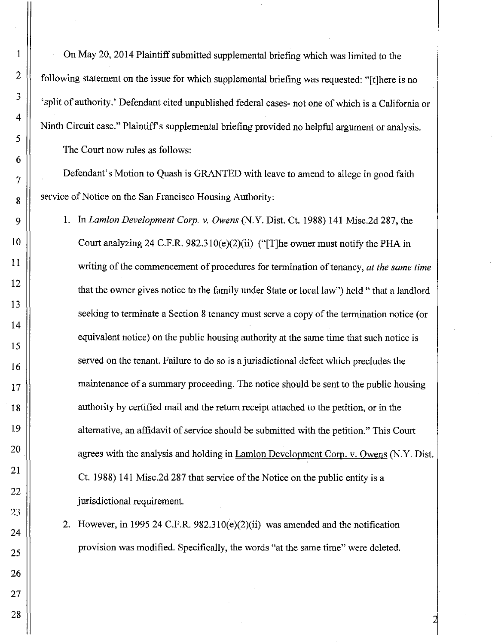On May 20, 2014 Plaintiff submitted supplemental briefing which was limited to the following statement on the issue for which supplemental briefing was requested: "[t]here is no 'split of authority.' Defendant cited unpublished federal cases- not one of which is a California or Ninth Circuit case." Plaintiff's supplemental briefing provided no helpful argument or analysis. The Court now rules as follows:

Defendant's Motion to Quash is GRANTED with leave to amend to allege in good faith service of Notice on the San Francisco Housing Authority:

1. In *Lamlon Development Corp.* v. *Owens* (N.Y. Dist. Ct. 1988) 141 Misc.2d 287, the Court analyzing 24 C.F.R.  $982.310(e)(2)(ii)$  ("[T]he owner must notify the PHA in writing of the commencement of procedures for termination of tenancy, *at the same time*  that the owner gives notice to the family under State or local law") held" that a landlord seeking to terminate a Section 8 tenancy must serve a copy of the termination notice (or equivalent notice) on the public housing authority at the same time that such notice is served on the tenant. Failure to do so is a jurisdictional defect which precludes the maintenance of a summary proceeding. The notice should be sent to the public housing authority by certified mail and the return receipt attached to the petition, or in the alternative, an affidavit of service should be submitted with the petition." This Court agrees with the analysis and holding in Lamlon Development Corp. v. Owens (N.Y. Dist. Ct. 1988) 141 Misc.2d 287 that service of the Notice on the public entity is a jurisdictional requirement.

2. However, in 1995 24 C.F.R. 982.310(e)(2)(ii) was amended and the notification provision was modified. Specifically, the words "at the same time" were deleted.

1

2

3

4

5

6

7

8

9

10

11

12

13

14

15

16

17

18

19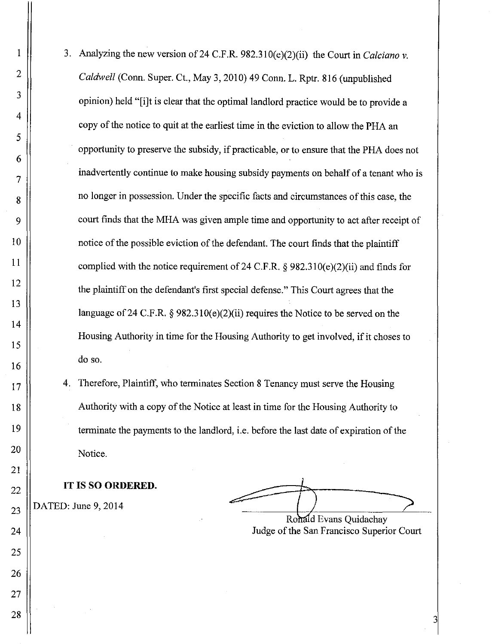- 3. Analyzing the new version of24 C.F.R. 982.310(e)(2)(ii) the Court in *Calciano* v. *Caldwell* (Conn. Super. Ct., May 3, 2010) 49 Conn. L. Rptr. 816 (unpublished opinion) held "[ilt is clear that the optimal landlord practice would be to provide a copy of the notice to quit at the earliest time in the eviction to allow the PHA an opportunity to preserve the subsidy, if practicable, or to ensure that the PHA does not inadvertently continue to make housing subsidy payments on behalf of a tenant who is no longer in possession. Under the specific facts and circumstances of this case, the court finds that the MHA was given ample time and opportunity to act after receipt of notice of the possible eviction of the defendant. The court finds that the plaintiff complied with the notice requirement of 24 C.F.R.  $\frac{6}{982.310(e)(2)(ii)}$  and finds for the plaintiff on the defendant's first special defense." This Court agrees that the language of 24 C.F.R.  $\S 982.310(e)(2)(ii)$  requires the Notice to be served on the Housing Authority in time for the Housing Authority to get involved, if it choses to do so.
- 4. Therefore, Plaintiff, who terminates Section 8 Tenancy must serve the Housing Authority with a copy of the Notice at least in time for the Housing Authority to terminate the payments to the landlord, i.e. before the last date of expiration of the Notice.

**IT IS SO ORDERED.** 

DATED: June 9, 2014

I

2

3

4

5

6

7

8

9

10

11

12

13

14

15

16

17

18

19

20

21

22

23

24

25

26

27

28

Ronald Evans Quidachav

Ronald Evans Quidachay Judge of the San Francisco Superior Court

3